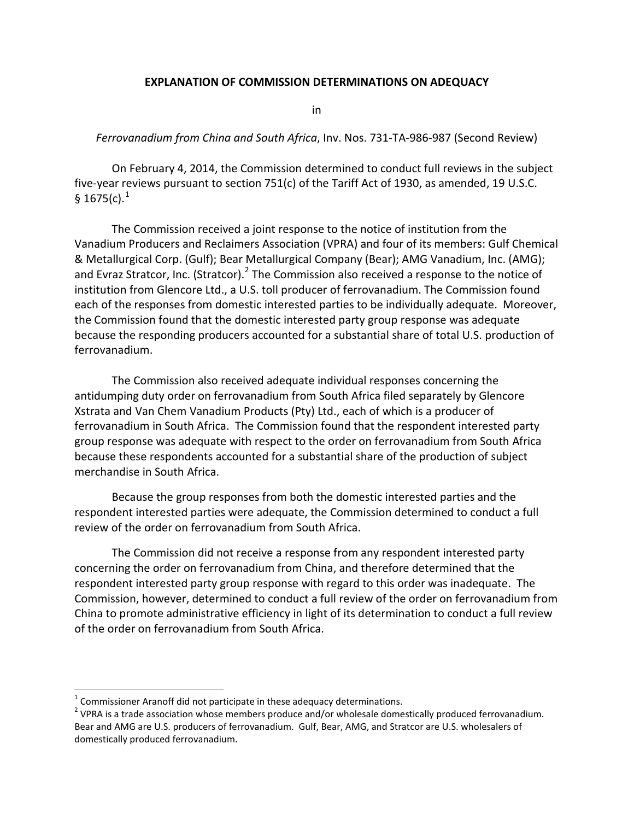## **EXPLANATION OF COMMISSION DETERMINATIONS ON ADEQUACY**

in

## *Ferrovanadium from China and South Africa*, Inv. Nos. 731-TA-986-987 (Second Review)

On February 4, 2014, the Commission determined to conduct full reviews in the subject five-year reviews pursuant to section 751(c) of the Tariff Act of 1930, as amended, 19 U.S.C. § [1](#page-0-0)675(c). $^{1}$ 

The Commission received a joint response to the notice of institution from the Vanadium Producers and Reclaimers Association (VPRA) and four of its members: Gulf Chemical & Metallurgical Corp. (Gulf); Bear Metallurgical Company (Bear); AMG Vanadium, Inc. (AMG); and Evraz Stratcor, Inc. (Stratcor). $<sup>2</sup>$  $<sup>2</sup>$  $<sup>2</sup>$  The Commission also received a response to the notice of</sup> institution from Glencore Ltd., a U.S. toll producer of ferrovanadium. The Commission found each of the responses from domestic interested parties to be individually adequate. Moreover, the Commission found that the domestic interested party group response was adequate because the responding producers accounted for a substantial share of total U.S. production of ferrovanadium.

The Commission also received adequate individual responses concerning the antidumping duty order on ferrovanadium from South Africa filed separately by Glencore Xstrata and Van Chem Vanadium Products (Pty) Ltd., each of which is a producer of ferrovanadium in South Africa. The Commission found that the respondent interested party group response was adequate with respect to the order on ferrovanadium from South Africa because these respondents accounted for a substantial share of the production of subject merchandise in South Africa.

Because the group responses from both the domestic interested parties and the respondent interested parties were adequate, the Commission determined to conduct a full review of the order on ferrovanadium from South Africa.

The Commission did not receive a response from any respondent interested party concerning the order on ferrovanadium from China, and therefore determined that the respondent interested party group response with regard to this order was inadequate. The Commission, however, determined to conduct a full review of the order on ferrovanadium from China to promote administrative efficiency in light of its determination to conduct a full review of the order on ferrovanadium from South Africa.

<span id="page-0-1"></span><span id="page-0-0"></span><sup>&</sup>lt;sup>1</sup> Commissioner Aranoff did not participate in these adequacy determinations.<br><sup>2</sup> VPRA is a trade association whose members produce and/or wholesale domestically produced ferrovanadium. Bear and AMG are U.S. producers of ferrovanadium. Gulf, Bear, AMG, and Stratcor are U.S. wholesalers of domestically produced ferrovanadium.